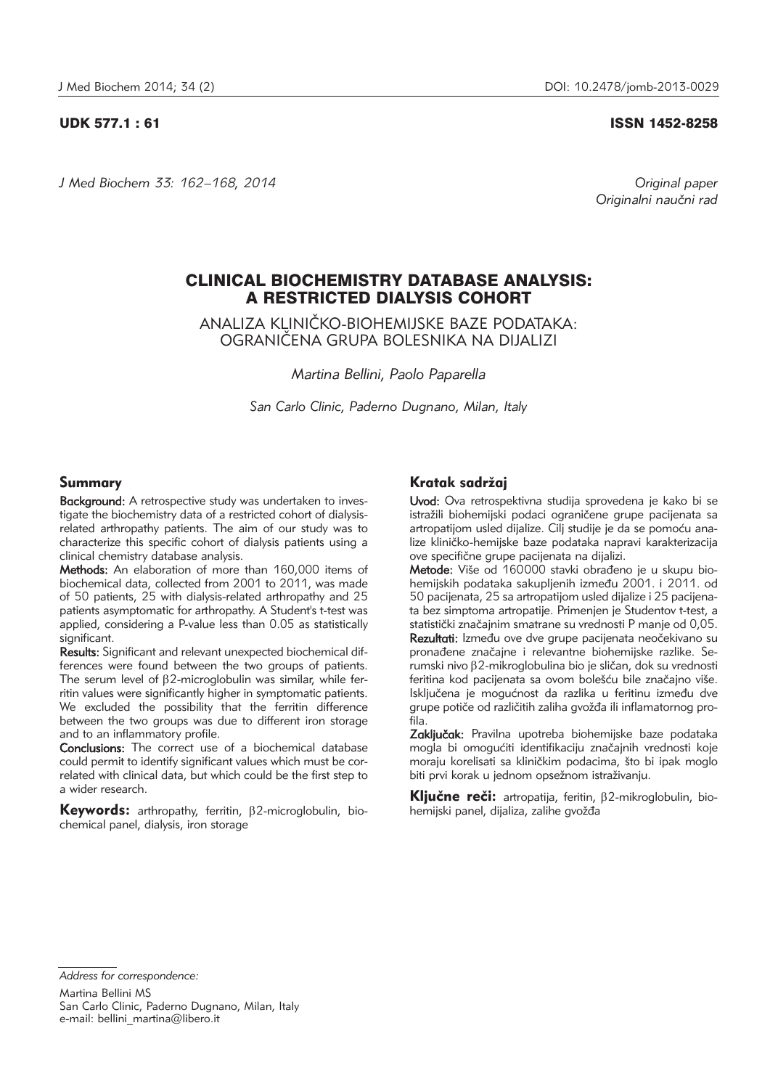*J Med Biochem 33: 162–168, 2014 Original paper*

UDK 577.1 : 61 ISSN 1452-8258

Originalni naučni rad

# CLINICAL BIOCHEMISTRY DATABASE ANALYSIS: A RESTRICTED DIALYSIS COHORT

ANALIZA KLINI^KO-BIOHEMIJSKE BAZE PODATAKA: OGRANI^ENA GRUPA BOLESNIKA NA DIJALIZI

*Martina Bellini, Paolo Paparella*

*San Carlo Clinic, Paderno Dugnano, Milan, Italy*

## Summary

Background: A retrospective study was undertaken to investigate the biochemistry data of a restricted cohort of dialysisrelated arthropathy patients. The aim of our study was to characterize this specific cohort of dialysis patients using a clinical chemistry database analysis.

Methods: An elaboration of more than 160,000 items of biochemical data, collected from 2001 to 2011, was made of 50 patients, 25 with dialysis-related arthropathy and 25 patients asymptomatic for arthropathy. A Student's t-test was applied, considering a P-value less than 0.05 as statistically significant.

Results: Significant and relevant unexpected biochemical differences were found between the two groups of patients. The serum level of  $\beta$ 2-microglobulin was similar, while ferritin values were significantly higher in symptomatic patients. We excluded the possibility that the ferritin difference between the two groups was due to different iron storage and to an inflammatory profile.

Conclusions: The correct use of a biochemical database could permit to identify significant values which must be correlated with clinical data, but which could be the first step to a wider research.

**Keywords:** arthropathy, ferritin,  $\beta$ 2-microglobulin, biochemical panel, dialysis, iron storage

## Kratak sadržaj

Uvod: Ova retrospektivna studija sprovedena je kako bi se istražili biohemijski podaci ograničene grupe pacijenata sa artropatijom usled dijalize. Cilj studije je da se pomoću analize kliničko-hemijske baze podataka napravi karakterizacija ove specifične grupe pacijenata na dijalizi.

Metode: Više od 160000 stavki obrađeno je u skupu biohemijskih podataka sakupljenih između 2001. i 2011. od 50 pacijenata, 25 sa artropatijom usled dijalize i 25 pacijena ta bez simptoma artropatije. Primenjen je Studentov t-test, a statistički značajnim smatrane su vrednosti P manje od 0,05. Rezultati: Između ove dve grupe pacijenata neočekivano su pronađene značajne i relevantne biohemijske razlike. Serumski nivo β2-mikroglobulina bio je sličan, dok su vrednosti feritina kod pacijenata sa ovom bolešću bile značajno više. Isključena je mogućnost da razlika u feritinu između dve grupe potiče od različitih zaliha gvožđa ili inflamatornog profila.

Zaključak: Pravilna upotreba biohemijske baze podataka mogla bi omogućiti identifikaciju značajnih vrednosti koje moraju korelisati sa kliničkim podacima, što bi ipak moglo biti prvi korak u jednom opsežnom istraživanju.

Ključne reči: artropatija, feritin,  $\beta$ 2-mikroglobulin, biohemijski panel, dijaliza, zalihe gvožđa

*Address for correspondence:* Martina Bellini MS San Carlo Clinic, Paderno Dugnano, Milan, Italy e-mail: bellini martina@libero.it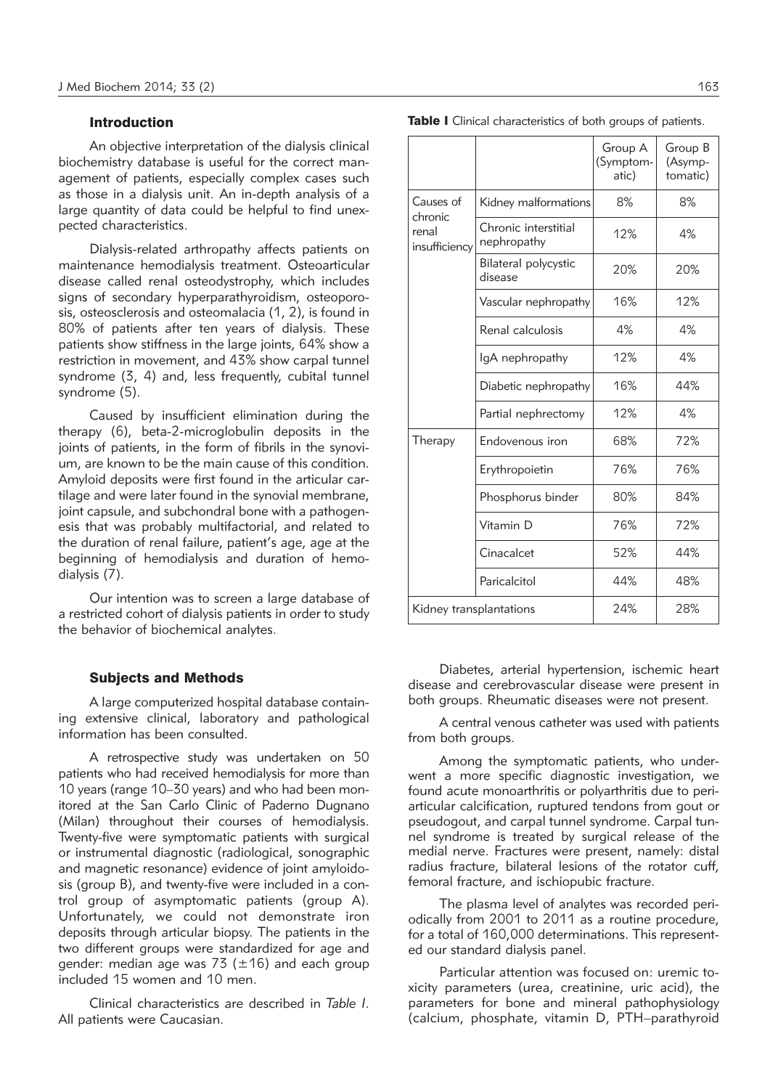## Introduction

An objective interpretation of the dialysis clinical biochemistry database is useful for the correct management of patients, especially complex cases such as those in a dialysis unit. An in-depth analysis of a large quantity of data could be helpful to find unexpected characteristics.

Dialysis-related arthropathy affects patients on maintenance hemodialysis treatment. Osteoarticular disease called renal osteodystrophy, which includes signs of secondary hyperparathyroidism, osteoporosis, osteosclerosis and osteomalacia (1, 2), is found in 80% of patients after ten years of dialysis. These patients show stiffness in the large joints, 64% show a restriction in movement, and 43% show carpal tunnel syndrome (3, 4) and, less frequently, cubital tunnel syndrome (5).

Caused by insufficient elimination during the therapy (6), beta-2-microglobulin deposits in the joints of patients, in the form of fibrils in the synovium, are known to be the main cause of this condition. Amyloid deposits were first found in the articular cartilage and were later found in the synovial membrane, joint capsule, and subchondral bone with a pathogenesis that was probably multifactorial, and related to the duration of renal failure, patient's age, age at the beginning of hemodialysis and duration of hemodialysis (7).

Our intention was to screen a large database of a restricted cohort of dialysis patients in order to study the behavior of biochemical analytes.

#### Subjects and Methods

A large computerized hospital database containing extensive clinical, laboratory and pathological information has been consulted.

A retrospective study was undertaken on 50 patients who had received hemodialysis for more than 10 years (range 10-30 years) and who had been monitored at the San Carlo Clinic of Paderno Dugnano (Milan) throughout their courses of hemodialysis. Twenty-five were symptomatic patients with surgical or instrumental diagnostic (radiological, sonographic and magnetic resonance) evidence of joint amyloidosis (group B), and twenty-five were included in a control group of asymptomatic patients (group A). Unfortunately, we could not demonstrate iron deposits through articular biopsy. The patients in the two different groups were standardized for age and gender: median age was  $73$  ( $\pm$ 16) and each group included 15 women and 10 men.

Clinical characteristics are described in *Table I*. All patients were Caucasian.

Table I Clinical characteristics of both groups of patients.

|                         |                                     | Group A<br>(Symptom-<br>atic) | Group B<br>(Asymp-<br>tomatic) |
|-------------------------|-------------------------------------|-------------------------------|--------------------------------|
| Causes of<br>chronic    | Kidney malformations                | 8%                            | 8%                             |
| renal<br>insufficiency  | Chronic interstitial<br>nephropathy | 12%                           | 4%                             |
|                         | Bilateral polycystic<br>disease     | 20%                           | 20%                            |
|                         | Vascular nephropathy                | 16%                           | 12%                            |
|                         | Renal calculosis                    | 4%                            | 4%                             |
|                         | IgA nephropathy                     | 12%                           | 4%                             |
|                         | Diabetic nephropathy                | 16%                           | 44%                            |
|                         | Partial nephrectomy                 | 12%                           | 4%                             |
| Therapy                 | Endovenous iron                     | 68%                           | 72%                            |
|                         | Erythropoietin                      | 76%                           | 76%                            |
|                         | Phosphorus binder                   | 80%                           | 84%                            |
|                         | Vitamin D                           | 76%                           | 72%                            |
|                         | Cinacalcet                          | 52%                           | 44%                            |
|                         | Paricalcitol                        | 44%                           | 48%                            |
| Kidney transplantations |                                     | 74%                           | 28%                            |

Diabetes, arterial hypertension, ischemic heart disease and cerebrovascular disease were present in both groups. Rheumatic diseases were not present.

A central venous catheter was used with patients from both groups.

Among the symptomatic patients, who underwent a more specific diagnostic investigation, we found acute monoarthritis or polyarthritis due to periarticular calcification, ruptured tendons from gout or pseudogout, and carpal tunnel syndrome. Carpal tunnel syndrome is treated by surgical release of the medial nerve. Fractures were present, namely: distal radius fracture, bilateral lesions of the rotator cuff, femoral fracture, and ischiopubic fracture.

The plasma level of analytes was recorded periodically from 2001 to 2011 as a routine procedure, for a total of 160,000 determinations. This represented our standard dialysis panel.

Particular attention was focused on: uremic toxicity parameters (urea, creatinine, uric acid), the parameters for bone and mineral pathophysiology (calcium, phosphate, vitamin D, PTH–parathyroid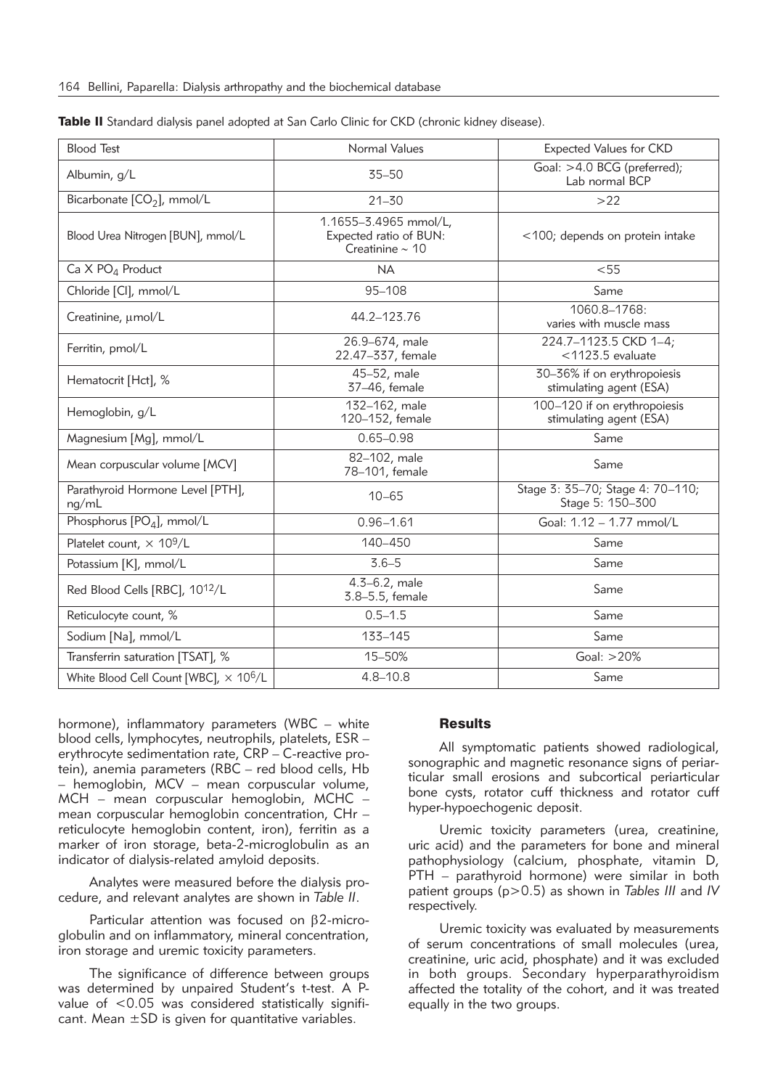| <b>Blood Test</b>                                  | Normal Values                                                           | <b>Expected Values for CKD</b>                          |
|----------------------------------------------------|-------------------------------------------------------------------------|---------------------------------------------------------|
| Albumin, g/L                                       | $35 - 50$                                                               | Goal: >4.0 BCG (preferred);<br>Lab normal BCP           |
| Bicarbonate [CO <sub>2</sub> ], mmol/L             | $21 - 30$                                                               | >22                                                     |
| Blood Urea Nitrogen [BUN], mmol/L                  | 1.1655-3.4965 mmol/L,<br>Expected ratio of BUN:<br>Creatinine $\sim 10$ | <100; depends on protein intake                         |
| Ca X PO <sub>4</sub> Product                       | <b>NA</b>                                                               | $<$ 55                                                  |
| Chloride [CI], mmol/L                              | 95-108                                                                  | Same                                                    |
| Creatinine, µmol/L                                 | 44.2-123.76                                                             | 1060.8-1768:<br>varies with muscle mass                 |
| Ferritin, pmol/L                                   | 26.9-674, male<br>22.47-337, female                                     | 224.7-1123.5 CKD 1-4;<br>$<$ 1123.5 evaluate            |
| Hematocrit [Hct], %                                | 45-52, male<br>37-46, female                                            | 30-36% if on erythropoiesis<br>stimulating agent (ESA)  |
| Hemoglobin, g/L                                    | 132-162, male<br>120-152, female                                        | 100-120 if on erythropoiesis<br>stimulating agent (ESA) |
| Magnesium [Mg], mmol/L                             | $0.65 - 0.98$                                                           | Same                                                    |
| Mean corpuscular volume [MCV]                      | 82-102, male<br>78-101, female                                          | Same                                                    |
| Parathyroid Hormone Level [PTH],<br>nq/mL          | $10 - 65$                                                               | Stage 3: 35-70; Stage 4: 70-110;<br>Stage 5: 150-300    |
| Phosphorus [PO4], mmol/L                           | $0.96 - 1.61$                                                           | Goal: 1.12 - 1.77 mmol/L                                |
| Platelet count, $\times$ 10 <sup>9</sup> /L        | 140-450                                                                 | Same                                                    |
| Potassium [K], mmol/L                              | $3.6 - 5$                                                               | Same                                                    |
| Red Blood Cells [RBC], 10 <sup>12</sup> /L         | 4.3-6.2, male<br>3.8-5.5, female                                        | Same                                                    |
| Reticulocyte count, %                              | $0.5 - 1.5$                                                             | Same                                                    |
| Sodium [Na], mmol/L                                | 133-145                                                                 | Same                                                    |
| Transferrin saturation [TSAT], %                   | 15-50%                                                                  | Goal: >20%                                              |
| White Blood Cell Count [WBC], × 10 <sup>6</sup> /L | $4.8 - 10.8$                                                            | Same                                                    |

| <b>Table II</b> Standard dialysis panel adopted at San Carlo Clinic for CKD (chronic kidney disease). |  |  |  |  |  |  |
|-------------------------------------------------------------------------------------------------------|--|--|--|--|--|--|
|-------------------------------------------------------------------------------------------------------|--|--|--|--|--|--|

hormone), inflammatory parameters (WBC  $-$  white blood cells, lymphocytes, neutrophils, platelets, ESR – erythrocyte sedimentation rate, CRP – C-reactive protein), anemia parameters (RBC – red blood cells, Hb – hemoglobin, MCV – mean corpuscular volume, MCH – mean corpuscular hemoglobin, MCHC – mean corpuscular hemoglobin concentration, CHr – reticulocyte hemoglobin content, iron), ferritin as a marker of iron storage, beta-2-microglobulin as an indicator of dialysis-related amyloid deposits.

Analytes were measured before the dialysis procedure, and relevant analytes are shown in *Table II*.

Particular attention was focused on  $\beta$ 2-microglobulin and on inflammatory, mineral concentration, iron storage and uremic toxicity parameters.

The significance of difference between groups was determined by unpaired Student's t-test. A Pvalue of <0.05 was considered statistically significant. Mean  $\pm$  SD is given for quantitative variables.

## **Results**

All symptomatic patients showed radiological, sonographic and magnetic resonance signs of periarticular small erosions and subcortical periarticular bone cysts, rotator cuff thickness and rotator cuff hyper-hypoechogenic deposit.

Uremic toxicity parameters (urea, creatinine, uric acid) and the parameters for bone and mineral pathophysiology (calcium, phosphate, vitamin D, PTH – parathyroid hormone) were similar in both patient groups (p>0.5) as shown in *Tables III* and *IV* respectively.

Uremic toxicity was evaluated by measurements of serum concentrations of small molecules (urea, creatinine, uric acid, phosphate) and it was excluded in both groups. Secondary hyperparathyroidism affected the totality of the cohort, and it was treated equally in the two groups.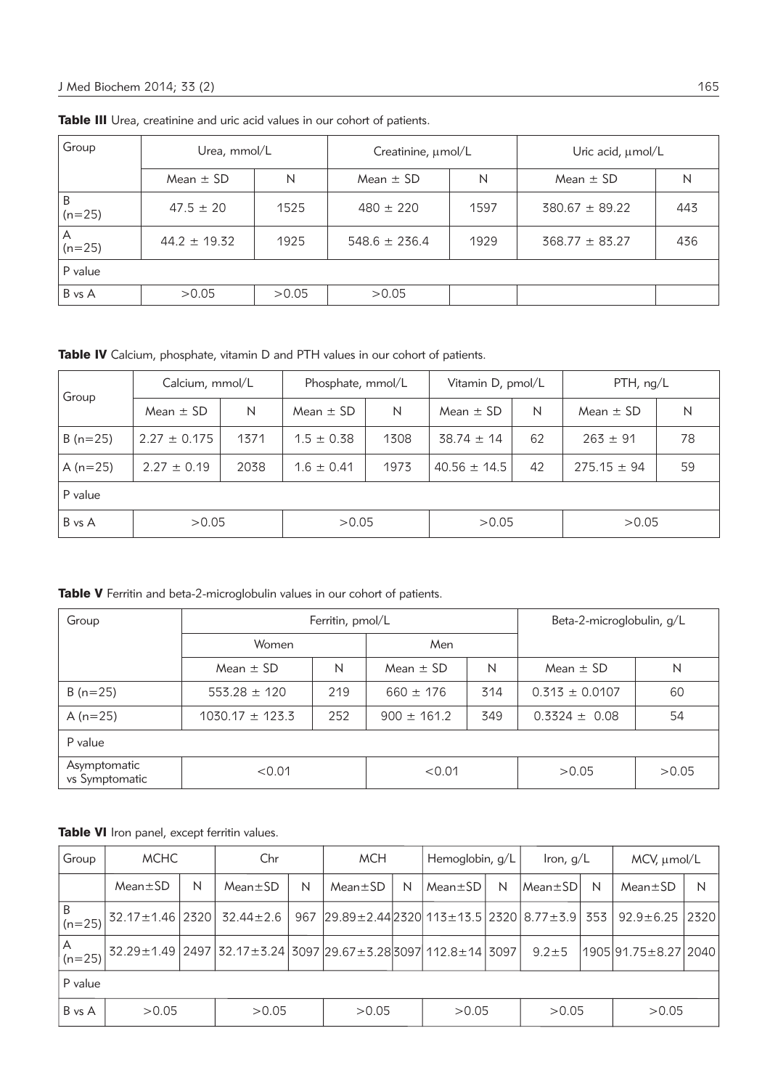| Group         | Urea, mmol/L     |       | Creatinine, µmol/L |      | Uric acid, µmol/L  |     |  |  |
|---------------|------------------|-------|--------------------|------|--------------------|-----|--|--|
|               | Mean $\pm$ SD    | N     | Mean $\pm$ SD      | N    | Mean $\pm$ SD      | N   |  |  |
| B<br>$(n=25)$ | $47.5 \pm 20$    | 1525  | $480 \pm 220$      | 1597 | $380.67 \pm 89.22$ | 443 |  |  |
| А<br>$(n=25)$ | $44.2 \pm 19.32$ | 1925  | $548.6 \pm 236.4$  | 1929 | $368.77 \pm 83.27$ | 436 |  |  |
| P value       |                  |       |                    |      |                    |     |  |  |
| B vs A        | >0.05            | >0.05 | >0.05              |      |                    |     |  |  |

Table III Urea, creatinine and uric acid values in our cohort of patients.

Table IV Calcium, phosphate, vitamin D and PTH values in our cohort of patients.

| Group        | Calcium, mmol/L  |      | Phosphate, mmol/L |      | Vitamin D, pmol/L |    | PTH, ng/L       |    |  |  |  |  |
|--------------|------------------|------|-------------------|------|-------------------|----|-----------------|----|--|--|--|--|
|              | Mean $\pm$ SD    | N    | Mean $\pm$ SD     | N    | Mean $\pm$ SD     | N  | Mean $\pm$ SD   | N  |  |  |  |  |
| $B(n=25)$    | $2.27 \pm 0.175$ | 1371 | $1.5 \pm 0.38$    | 1308 | $38.74 \pm 14$    | 62 | $263 \pm 91$    | 78 |  |  |  |  |
| A ( $n=25$ ) | $2.27 \pm 0.19$  | 2038 | $1.6 \pm 0.41$    | 1973 | $40.56 \pm 14.5$  | 42 | $275.15 \pm 94$ | 59 |  |  |  |  |
| P value      |                  |      |                   |      |                   |    |                 |    |  |  |  |  |
| B vs A       | >0.05            |      | >0.05             |      | >0.05             |    | >0.05           |    |  |  |  |  |

Table V Ferritin and beta-2-microglobulin values in our cohort of patients.

| Group                          | Ferritin, pmol/L           | Beta-2-microglobulin, g/L |                        |   |                    |       |
|--------------------------------|----------------------------|---------------------------|------------------------|---|--------------------|-------|
|                                | Women                      | Men                       |                        |   |                    |       |
|                                | Mean $\pm$ SD              | N                         | Mean $\pm$ SD          | N | Mean $\pm$ SD      | N     |
| $B(n=25)$                      | $553.28 \pm 120$<br>219    |                           | 314<br>$660 \pm 176$   |   | $0.313 \pm 0.0107$ | 60    |
| A ( $n=25$ )                   | 252<br>$1030.17 \pm 123.3$ |                           | 349<br>$900 \pm 161.2$ |   | $0.3324 \pm 0.08$  | 54    |
| P value                        |                            |                           |                        |   |                    |       |
| Asymptomatic<br>vs Symptomatic | < 0.01                     |                           | < 0.01                 |   | >0.05              | >0.05 |

| Table VI Iron panel, except ferritin values. |  |  |  |  |  |
|----------------------------------------------|--|--|--|--|--|
|----------------------------------------------|--|--|--|--|--|

| Group                    | <b>MCHC</b>             |   | Chr                                                                                                 |     | <b>MCH</b>                                                |   | Hemoglobin, g/L |   | Iron, $q/L$ |   | MCV, µmol/L              |   |
|--------------------------|-------------------------|---|-----------------------------------------------------------------------------------------------------|-----|-----------------------------------------------------------|---|-----------------|---|-------------|---|--------------------------|---|
|                          | $Mean \pm SD$           | N | $Mean \pm SD$                                                                                       | N   | $Mean \pm SD$                                             | N | $Mean \pm SD$   | N | Mean±SD     | N | $Mean \pm SD$            | N |
| <sup>B</sup><br>$(n=25)$ | $32.17 \pm 1.46$   2320 |   | $32.44 \pm 2.6$                                                                                     | 967 | $ 29.89 \pm 2.44 2320 113 \pm 13.5 2320 8.77 \pm 3.9 353$ |   |                 |   |             |   | $92.9 \pm 6.25$  2320    |   |
| A<br>$(n=25)$            |                         |   | $32.29 \pm 1.49$   2497   32.17 $\pm$ 3.24   3097   29.67 $\pm$ 3.28   3097   112.8 $\pm$ 14   3097 |     |                                                           |   |                 |   | $9.2 \pm 5$ |   | 1905 91.75 ± 8.27   2040 |   |
| P value                  |                         |   |                                                                                                     |     |                                                           |   |                 |   |             |   |                          |   |
| B vs A                   | >0.05<br>>0.05          |   | >0.05                                                                                               |     | >0.05                                                     |   | >0.05           |   | >0.05       |   |                          |   |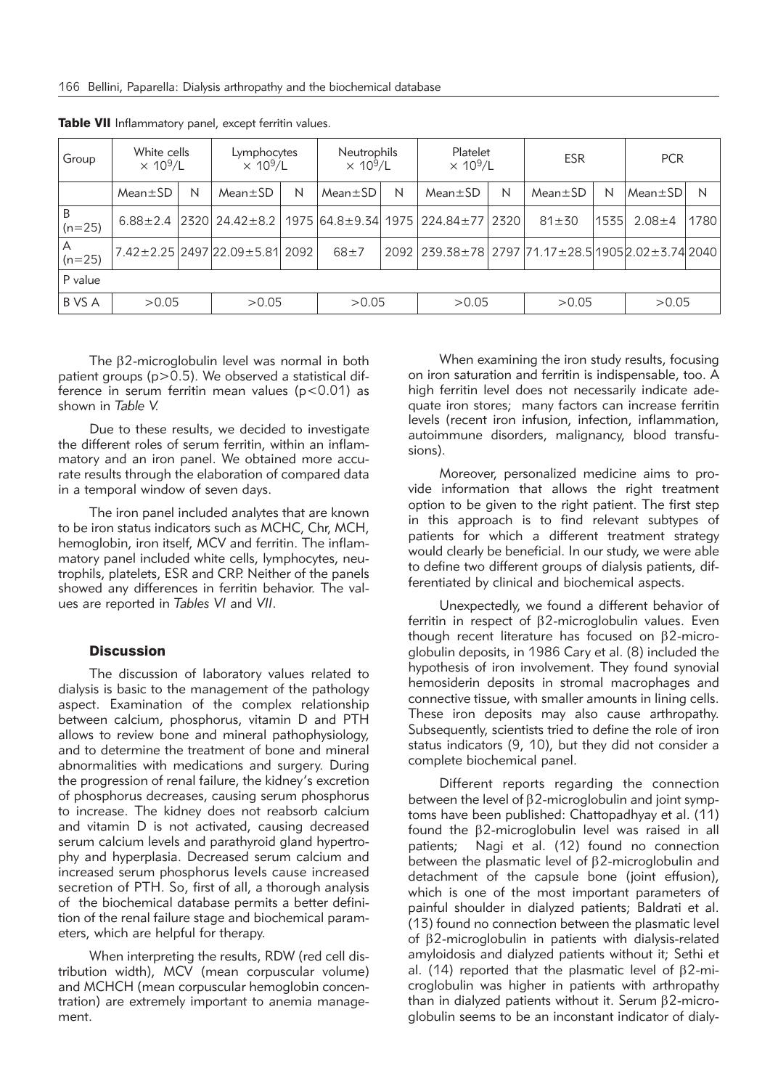| Group         | White cells<br>$\times$ 10 <sup>9</sup> /L |   | <b>Neutrophils</b><br>Lymphocytes<br>$\times$ 10 <sup>9</sup> /I<br>$\times$ 10 <sup>9</sup> /L |   | Platelet<br>$\times$ 10 <sup>9</sup> /L |   | <b>ESR</b>                                                                                       |   | <b>PCR</b>    |       |            |      |  |
|---------------|--------------------------------------------|---|-------------------------------------------------------------------------------------------------|---|-----------------------------------------|---|--------------------------------------------------------------------------------------------------|---|---------------|-------|------------|------|--|
|               | $Mean \pm SD$                              | N | $Mean \pm SD$                                                                                   | N | $Mean \pm SD$                           | N | $Mean \pm SD$                                                                                    | N | $Mean \pm SD$ | N     | ∣Mean±SD   | N    |  |
| B<br>$(n=25)$ |                                            |   |                                                                                                 |   |                                         |   | $6.88 \pm 2.4$   2320   24.42 $\pm 8.2$   1975   64.8 $\pm 9.34$   1975   224.84 $\pm 77$   2320 |   | $81 + 30$     | 15351 | $2.08 + 4$ | 1780 |  |
| A<br>$(n=25)$ |                                            |   | $7.42 \pm 2.25$ 2497 22.09 $\pm$ 5.81 2092                                                      |   | $68 + 7$                                |   | 2092   239.38±78   2797   71.17±28.5   1905   2.02±3.74   2040                                   |   |               |       |            |      |  |
| P value       |                                            |   |                                                                                                 |   |                                         |   |                                                                                                  |   |               |       |            |      |  |
| <b>B</b> VS A | >0.05                                      |   | >0.05                                                                                           |   | >0.05                                   |   | >0.05                                                                                            |   | >0.05         |       | >0.05      |      |  |

Table VII Inflammatory panel, except ferritin values.

The  $\beta$ 2-microglobulin level was normal in both patient groups ( $p > 0.5$ ). We observed a statistical difference in serum ferritin mean values ( $p < 0.01$ ) as shown in *Table V.*

Due to these results, we decided to investigate the different roles of serum ferritin, within an inflammatory and an iron panel. We obtained more accurate results through the elaboration of compared data in a temporal window of seven days.

The iron panel included analytes that are known to be iron status indicators such as MCHC, Chr, MCH, hemoglobin, iron itself, MCV and ferritin. The inflammatory panel included white cells, lymphocytes, neutrophils, platelets, ESR and CRP. Neither of the panels showed any differences in ferritin behavior. The values are reported in *Tables VI* and *VII*.

## **Discussion**

The discussion of laboratory values related to dialysis is basic to the management of the pathology aspect. Examination of the complex relationship between calcium, phosphorus, vitamin D and PTH allows to review bone and mineral pathophysiology, and to determine the treatment of bone and mineral abnormalities with medications and surgery. During the progression of renal failure, the kidney's excretion of phosphorus decreases, causing serum phosphorus to increase. The kidney does not reabsorb calcium and vitamin D is not activated, causing decreased serum calcium levels and parathyroid gland hypertrophy and hyperplasia. Decreased serum calcium and increased serum phosphorus levels cause increased secretion of PTH. So, first of all, a thorough analysis of the biochemical database permits a better definition of the renal failure stage and biochemical parameters, which are helpful for therapy.

When interpreting the results, RDW (red cell distribution width), MCV (mean corpuscular volume) and MCHCH (mean corpuscular hemoglobin concentration) are extremely important to anemia management.

When examining the iron study results, focusing on iron saturation and ferritin is indispensable, too. A high ferritin level does not necessarily indicate adequate iron stores; many factors can increase ferritin levels (recent iron infusion, infection, inflammation, autoimmune disorders, malignancy, blood transfusions).

Moreover, personalized medicine aims to provide information that allows the right treatment option to be given to the right patient. The first step in this approach is to find relevant subtypes of patients for which a different treatment strategy would clearly be beneficial. In our study, we were able to define two different groups of dialysis patients, differentiated by clinical and biochemical aspects.

Unexpectedly, we found a different behavior of ferritin in respect of  $\beta$ 2-microglobulin values. Even though recent literature has focused on  $\beta$ 2-microglobulin deposits, in 1986 Cary et al. (8) included the hypothesis of iron involvement. They found synovial hemosiderin deposits in stromal macrophages and connective tissue, with smaller amounts in lining cells. These iron deposits may also cause arthropathy. Subsequently, scientists tried to define the role of iron status indicators (9, 10), but they did not consider a complete biochemical panel.

Different reports regarding the connection between the level of  $\beta$ 2-microglobulin and joint symptoms have been published: Chattopadhyay et al. (11) found the  $\beta$ 2-microglobulin level was raised in all patients; Nagi et al. (12) found no connection between the plasmatic level of  $\beta$ 2-microglobulin and detachment of the capsule bone (joint effusion), which is one of the most important parameters of painful shoulder in dialyzed patients; Baldrati et al. (13) found no connection between the plasmatic level of  $\beta$ 2-microglobulin in patients with dialysis-related amyloidosis and dialyzed patients without it; Sethi et al. (14) reported that the plasmatic level of  $\beta$ 2-microglobulin was higher in patients with arthropathy than in dialyzed patients without it. Serum  $\beta$ 2-microglobulin seems to be an inconstant indicator of dialy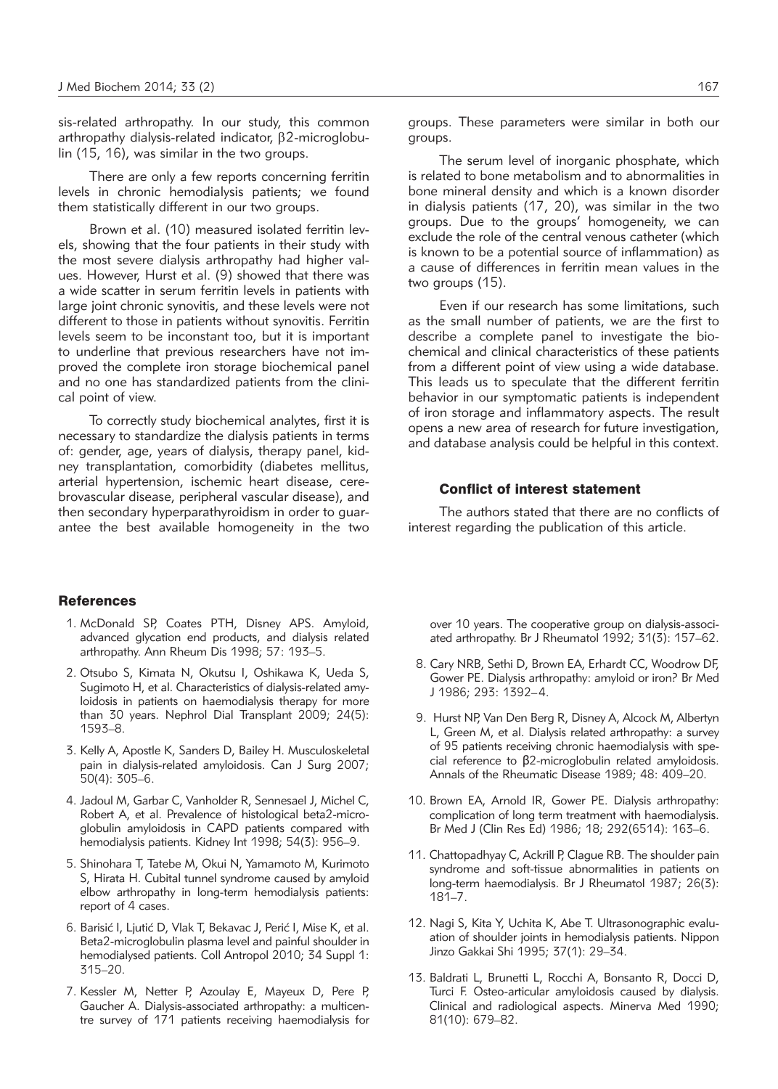sis-related arthropathy. In our study, this common arthropathy dialysis-related indicator,  $\beta$ 2-microglobulin (15, 16), was similar in the two groups.

There are only a few reports concerning ferritin levels in chronic hemodialysis patients; we found them statistically different in our two groups.

Brown et al. (10) measured isolated ferritin levels, showing that the four patients in their study with the most severe dialysis arthropathy had higher values. However, Hurst et al. (9) showed that there was a wide scatter in serum ferritin levels in patients with large joint chronic synovitis, and these levels were not different to those in patients without synovitis. Ferritin levels seem to be inconstant too, but it is important to underline that previous researchers have not improved the complete iron storage biochemical panel and no one has standardized patients from the clinical point of view.

To correctly study biochemical analytes, first it is necessary to standardize the dialysis patients in terms of: gender, age, years of dialysis, therapy panel, kidney transplantation, comorbidity (diabetes mellitus, arterial hypertension, ischemic heart disease, cerebrovascular disease, peripheral vascular disease), and then secondary hyperparathyroidism in order to guarantee the best available homogeneity in the two

### **References**

- 1. McDonald SP, Coates PTH, Disney APS. Amyloid, advanced glycation end products, and dialysis related arthropathy. Ann Rheum Dis 1998; 57: 193–5.
- 2. Otsubo S, Kimata N, Okutsu I, Oshikawa K, Ueda S, Sugimoto H, et al. Characteristics of dialysis-related amyloidosis in patients on haemodialysis therapy for more than 30 years. Nephrol Dial Transplant 2009; 24(5): 1593–8.
- 3. Kelly A, Apostle K, Sanders D, Bailey H. Musculoskeletal pain in dialysis-related amyloidosis. Can J Surg 2007; 50(4): 305–6.
- 4. Jadoul M, Garbar C, Vanholder R, Sennesael J, Michel C, Robert A, et al. Prevalence of histological beta2-microglobulin amyloidosis in CAPD patients compared with hemodialysis patients. Kidney Int 1998; 54(3): 956–9.
- 5. Shinohara T, Tatebe M, Okui N, Yamamoto M, Kurimoto S, Hirata H. Cubital tunnel syndrome caused by amyloid elbow arthropathy in long-term hemodialysis patients: report of 4 cases.
- 6. Barisić I, Ljutić D, Vlak T, Bekavac J, Perić I, Mise K, et al. Beta2-microglobulin plasma level and painful shoulder in hemodialysed patients. Coll Antropol 2010; 34 Suppl 1: 315–20.
- 7. Kessler M, Netter P, Azoulay E, Mayeux D, Pere P, Gaucher A. Dialysis-associated arthropathy: a multicentre survey of 171 patients receiving haemodialysis for

groups. These parameters were similar in both our groups.

The serum level of inorganic phosphate, which is related to bone metabolism and to abnormalities in bone mineral density and which is a known disorder in dialysis patients (17, 20), was similar in the two groups. Due to the groups' homogeneity, we can exclude the role of the central venous catheter (which is known to be a potential source of inflammation) as a cause of differences in ferritin mean values in the two groups (15).

Even if our research has some limitations, such as the small number of patients, we are the first to describe a complete panel to investigate the biochemical and clinical characteristics of these patients from a different point of view using a wide database. This leads us to speculate that the different ferritin behavior in our symptomatic patients is independent of iron storage and inflammatory aspects. The result opens a new area of research for future investigation, and database analysis could be helpful in this context.

## Conflict of interest statement

The authors stated that there are no conflicts of interest regarding the publication of this article.

over 10 years. The cooperative group on dialysis-associated arthropathy. Br J Rheumatol 1992; 31(3): 157–62.

- 8. Cary NRB, Sethi D, Brown EA, Erhardt CC, Woodrow DF, Gower PE. Dialysis arthropathy: amyloid or iron? Br Med J 1986; 293: 1392–4.
- 9. Hurst NP, Van Den Berg R, Disney A, Alcock M, Albertyn L, Green M, et al. Dialysis related arthropathy: a survey of 95 patients receiving chronic haemodialysis with special reference to β2-microglobulin related amyloidosis. Annals of the Rheumatic Disease 1989; 48: 409–20.
- 10. Brown EA, Arnold IR, Gower PE. Dialysis arthropathy: complication of long term treatment with haemodialysis. Br Med J (Clin Res Ed) 1986; 18; 292(6514): 163–6.
- 11. Chattopadhyay C, Ackrill P, Clague RB. The shoulder pain syndrome and soft-tissue abnormalities in patients on long-term haemodialysis. Br J Rheumatol 1987; 26(3): 181–7.
- 12. Nagi S, Kita Y, Uchita K, Abe T. Ultrasonographic evaluation of shoulder joints in hemodialysis patients. Nippon Jinzo Gakkai Shi 1995; 37(1): 29–34.
- 13. Baldrati L, Brunetti L, Rocchi A, Bonsanto R, Docci D, Turci F. Osteo-articular amyloidosis caused by dialysis. Clinical and radiological aspects. Minerva Med 1990; 81(10): 679–82.